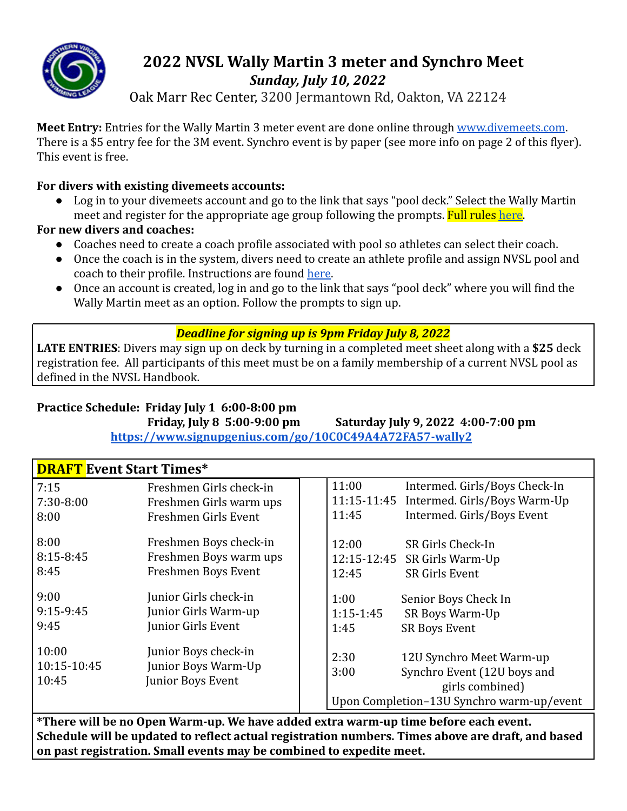

# **2022 NVSL Wally Martin 3 meter and Synchro Meet** *Sunday, July 10, 2022*

Oak Marr Rec Center, 3200 Jermantown Rd, Oakton, VA 22124

**Meet Entry:** Entries for the Wally Martin 3 meter event are done online through [www.divemeets.com](http://www.divemeets.com). There is a \$5 entry fee for the 3M event. Synchro event is by paper (see more info on page 2 of this flyer). This event is free.

# **For divers with existing divemeets accounts:**

● Log in to your divemeets account and go to the link that says "pool deck." Select the Wally Martin meet and register for the appropriate age group following the prompts. Full rules [here.](https://dive.mynvsl.com/file/35186/2022___Three_Meter_Meet_Ruleset_pdf)

# **For new divers and coaches:**

- Coaches need to create a coach profile associated with pool so athletes can select their coach.
- Once the coach is in the system, divers need to create an athlete profile and assign NVSL pool and coach to their profile. Instructions are found [here](https://dive.mynvsl.com/file/30484/DiveMeets_Instructions_pdf).
- Once an account is created, log in and go to the link that says "pool deck" where you will find the Wally Martin meet as an option. Follow the prompts to sign up.

# *Deadline for signing up is 9pm Friday July 8, 2022*

**LATE ENTRIES**: Divers may sign up on deck by turning in a completed meet sheet along with a **\$25** deck registration fee. All participants of this meet must be on a family membership of a current NVSL pool as defined in the NVSL Handbook.

# **Practice Schedule: Friday July 1 6:00-8:00 pm**

**Friday, July 8 5:00-9:00 pm Saturday July 9, 2022 4:00-7:00 pm <https://www.signupgenius.com/go/10C0C49A4A72FA57-wally2>**

# **DRAFT Event Start Times\***

| 7:15<br>7:30-8:00<br>8:00     | Freshmen Girls check-in<br>Freshmen Girls warm ups<br>Freshmen Girls Event | 11:00<br>Intermed. Girls/Boys Check-In<br>11:15-11:45<br>Intermed. Girls/Boys Warm-Up<br>Intermed. Girls/Boys Event<br>11:45            |
|-------------------------------|----------------------------------------------------------------------------|-----------------------------------------------------------------------------------------------------------------------------------------|
| 8:00<br>8:15-8:45<br>8:45     | Freshmen Boys check-in<br>Freshmen Boys warm ups<br>Freshmen Boys Event    | 12:00<br>SR Girls Check-In<br>12:15-12:45 SR Girls Warm-Up<br><b>SR Girls Event</b><br>12:45                                            |
| 9:00<br>$9:15-9:45$<br>9:45   | Junior Girls check-in<br>Junior Girls Warm-up<br>Junior Girls Event        | 1:00<br>Senior Boys Check In<br>$1:15-1:45$<br><b>SR Boys Warm-Up</b><br><b>SR Boys Event</b><br>1:45                                   |
| 10:00<br>10:15-10:45<br>10:45 | Junior Boys check-in<br>Junior Boys Warm-Up<br>Junior Boys Event           | 2:30<br>12U Synchro Meet Warm-up<br>Synchro Event (12U boys and<br>3:00<br>girls combined)<br>Upon Completion-13U Synchro warm-up/event |
|                               |                                                                            |                                                                                                                                         |

**\*There will be no Open Warm-up. We have added extra warm-up time before each event. Schedule will be updated to reflect actual registration numbers. Times above are draft, and based on past registration. Small events may be combined to expedite meet.**